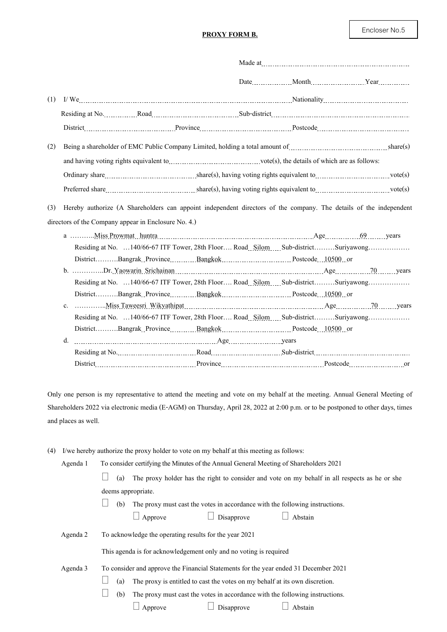## **PROXY FORM B.**

| (1) |                                                                                                                                                                                                                                      |  |  |  |  |
|-----|--------------------------------------------------------------------------------------------------------------------------------------------------------------------------------------------------------------------------------------|--|--|--|--|
|     |                                                                                                                                                                                                                                      |  |  |  |  |
|     |                                                                                                                                                                                                                                      |  |  |  |  |
| (2) | Being a shareholder of EMC Public Company Limited, holding a total amount of <i>company</i> contains the share (s)                                                                                                                   |  |  |  |  |
|     |                                                                                                                                                                                                                                      |  |  |  |  |
|     |                                                                                                                                                                                                                                      |  |  |  |  |
|     |                                                                                                                                                                                                                                      |  |  |  |  |
| (3) | Hereby authorize (A Shareholders can appoint independent directors of the company. The details of the independent<br>directors of the Company appear in Enclosure No. 4.)                                                            |  |  |  |  |
|     | Residing at No. 140/66-67 ITF Tower, 28th Floor Road Silom Sub-districtSuriyawong<br>DistrictBangrak_ProvinceBangkokPostcode10500or                                                                                                  |  |  |  |  |
|     | Residing at No. 140/66-67 ITF Tower, 28th Floor Road Silom Sub-districtSuriyawong<br>DistrictBangrak_ProvinceBangkokPostcode10500or                                                                                                  |  |  |  |  |
|     | $C_{\star}$<br>Residing at No. 140/66-67 ITF Tower, 28th Floor Road Silom Sub-districtSuriyawong                                                                                                                                     |  |  |  |  |
|     | DistrictBangrak_ProvinceBangkokPostcode10500or                                                                                                                                                                                       |  |  |  |  |
|     | d.<br>Residing at No. 1990. 1990. The Road Residing at No. 1990. The Road Residing Sub-district. 1990. 1990. The Road Residing Sub-district. 1990. 1990. 1990. ISBN 0-1990. 1990. ISBN 0-1990. ISBN 0-1990. 1990. ISBN 0-1990. 1990. |  |  |  |  |
|     |                                                                                                                                                                                                                                      |  |  |  |  |

Only one person is my representative to attend the meeting and vote on my behalf at the meeting. Annual General Meeting of Shareholders 2022 via electronic media (E-AGM) on Thursday, April 28, 2022 at 2:00 p.m. or to be postponed to other days, times and places as well.

| (4) I/we hereby authorize the proxy holder to vote on my behalf at this meeting as follows: |  |  |
|---------------------------------------------------------------------------------------------|--|--|
|                                                                                             |  |  |

Agenda 1 To consider certifying the Minutes of the Annual General Meeting of Shareholders 2021

 $\Box$  (a) The proxy holder has the right to consider and vote on my behalf in all respects as he or she deems appropriate.

 $\Box$  (b) The proxy must cast the votes in accordance with the following instructions.

|  | Approve |
|--|---------|
|--|---------|

|  | $\Box$ Disapprove |  | $\Box$ Abstain |
|--|-------------------|--|----------------|
|--|-------------------|--|----------------|

Agenda 2 To acknowledge the operating results for the year 2021

This agenda is for acknowledgement only and no voting is required

Agenda 3 To consider and approve the Financial Statements for the year ended 31 December 2021

 $\Box$  (a) The proxy is entitled to cast the votes on my behalf at its own discretion.

 $\Box$  (b) The proxy must cast the votes in accordance with the following instructions.

 $\Box$  Approve  $\Box$  Disapprove  $\Box$  Abstain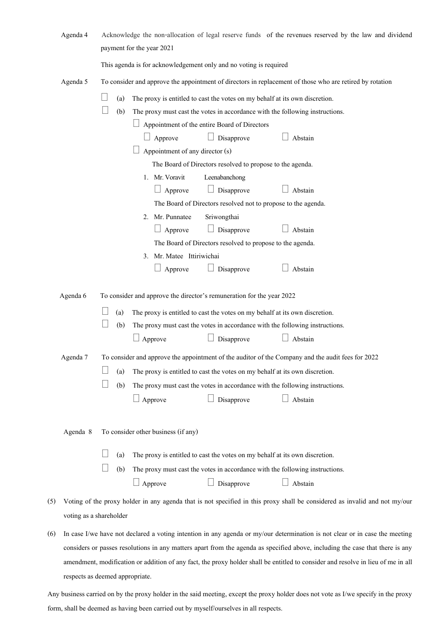|     | Agenda 4                | payment for the year 2021                                                                                                                                                                                                 | Acknowledge the non-allocation of legal reserve funds of the revenues reserved by the law and dividend                     |  |  |  |  |  |
|-----|-------------------------|---------------------------------------------------------------------------------------------------------------------------------------------------------------------------------------------------------------------------|----------------------------------------------------------------------------------------------------------------------------|--|--|--|--|--|
|     |                         | This agenda is for acknowledgement only and no voting is required                                                                                                                                                         |                                                                                                                            |  |  |  |  |  |
|     | Agenda 5                | To consider and approve the appointment of directors in replacement of those who are retired by rotation                                                                                                                  |                                                                                                                            |  |  |  |  |  |
|     |                         | (a)<br>The proxy is entitled to cast the votes on my behalf at its own discretion.<br>(b)<br>The proxy must cast the votes in accordance with the following instructions.<br>Appointment of the entire Board of Directors |                                                                                                                            |  |  |  |  |  |
|     |                         | Disapprove<br>Approve<br>Appointment of any director (s)                                                                                                                                                                  | Abstain                                                                                                                    |  |  |  |  |  |
|     |                         | The Board of Directors resolved to propose to the agenda.                                                                                                                                                                 |                                                                                                                            |  |  |  |  |  |
|     |                         | 1. Mr. Voravit<br>Leenabanchong<br>Disapprove<br>Approve                                                                                                                                                                  | Abstain                                                                                                                    |  |  |  |  |  |
|     |                         | The Board of Directors resolved not to propose to the agenda.<br>2. Mr. Punnatee<br>Sriwongthai                                                                                                                           |                                                                                                                            |  |  |  |  |  |
|     |                         | Disapprove<br>Approve                                                                                                                                                                                                     | Abstain                                                                                                                    |  |  |  |  |  |
|     |                         | The Board of Directors resolved to propose to the agenda.                                                                                                                                                                 |                                                                                                                            |  |  |  |  |  |
|     |                         | 3. Mr. Matee Ittiriwichai                                                                                                                                                                                                 |                                                                                                                            |  |  |  |  |  |
|     |                         | Disapprove<br>Approve                                                                                                                                                                                                     | Abstain                                                                                                                    |  |  |  |  |  |
|     | Agenda 6                | To consider and approve the director's remuneration for the year 2022                                                                                                                                                     |                                                                                                                            |  |  |  |  |  |
|     |                         | (a)<br>The proxy is entitled to cast the votes on my behalf at its own discretion.                                                                                                                                        |                                                                                                                            |  |  |  |  |  |
|     |                         | (b)<br>The proxy must cast the votes in accordance with the following instructions.                                                                                                                                       |                                                                                                                            |  |  |  |  |  |
|     |                         | Disapprove<br>$\Box$ Approve                                                                                                                                                                                              | Abstain                                                                                                                    |  |  |  |  |  |
|     | Agenda 7                | To consider and approve the appointment of the auditor of the Company and the audit fees for 2022                                                                                                                         |                                                                                                                            |  |  |  |  |  |
|     |                         | The proxy is entitled to cast the votes on my behalf at its own discretion.<br>(a)                                                                                                                                        |                                                                                                                            |  |  |  |  |  |
|     |                         | (b)<br>The proxy must cast the votes in accordance with the following instructions.                                                                                                                                       |                                                                                                                            |  |  |  |  |  |
|     |                         | Approve<br>Disapprove                                                                                                                                                                                                     | Abstain                                                                                                                    |  |  |  |  |  |
|     | Agenda 8                | To consider other business (if any)                                                                                                                                                                                       |                                                                                                                            |  |  |  |  |  |
|     |                         | (a)<br>The proxy is entitled to cast the votes on my behalf at its own discretion.                                                                                                                                        |                                                                                                                            |  |  |  |  |  |
|     |                         | (b)<br>The proxy must cast the votes in accordance with the following instructions.                                                                                                                                       |                                                                                                                            |  |  |  |  |  |
|     |                         | $\Box$ Approve<br>Disapprove                                                                                                                                                                                              | Abstain                                                                                                                    |  |  |  |  |  |
| (5) |                         |                                                                                                                                                                                                                           | Voting of the proxy holder in any agenda that is not specified in this proxy shall be considered as invalid and not my/our |  |  |  |  |  |
|     | voting as a shareholder |                                                                                                                                                                                                                           |                                                                                                                            |  |  |  |  |  |

(6) In case I/we have not declared a voting intention in any agenda or my/our determination is not clear or in case the meeting considers or passes resolutions in any matters apart from the agenda as specified above, including the case that there is any amendment, modification or addition of any fact, the proxy holder shall be entitled to consider and resolve in lieu of me in all respects as deemed appropriate.

Any business carried on by the proxy holder in the said meeting, except the proxy holder does not vote as I/we specify in the proxy form, shall be deemed as having been carried out by myself/ourselves in all respects.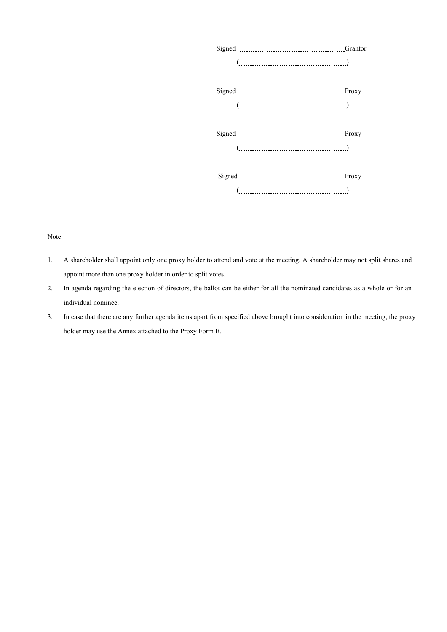| $\begin{picture}(20,10) \put(0,0){\dashbox{0.5}(5,0){ }} \put(15,0){\dashbox{0.5}(5,0){ }} \put(25,0){\dashbox{0.5}(5,0){ }} \put(35,0){\dashbox{0.5}(5,0){ }} \put(45,0){\dashbox{0.5}(5,0){ }} \put(55,0){\dashbox{0.5}(5,0){ }} \put(65,0){\dashbox{0.5}(5,0){ }} \put(65,0){\dashbox{0.5}(5,0){ }} \put(65,0){\dashbox{0.5}(5,0){ }} \put(65,0){\dashbox{0.5}(5,0){ }}$ |  |
|-----------------------------------------------------------------------------------------------------------------------------------------------------------------------------------------------------------------------------------------------------------------------------------------------------------------------------------------------------------------------------|--|
|                                                                                                                                                                                                                                                                                                                                                                             |  |
|                                                                                                                                                                                                                                                                                                                                                                             |  |
|                                                                                                                                                                                                                                                                                                                                                                             |  |
|                                                                                                                                                                                                                                                                                                                                                                             |  |
|                                                                                                                                                                                                                                                                                                                                                                             |  |
|                                                                                                                                                                                                                                                                                                                                                                             |  |

## Note:

- 1. A shareholder shall appoint only one proxy holder to attend and vote at the meeting. A shareholder may not split shares and appoint more than one proxy holder in order to split votes.
- 2. In agenda regarding the election of directors, the ballot can be either for all the nominated candidates as a whole or for an individual nominee.
- 3. In case that there are any further agenda items apart from specified above brought into consideration in the meeting, the proxy holder may use the Annex attached to the Proxy Form B.